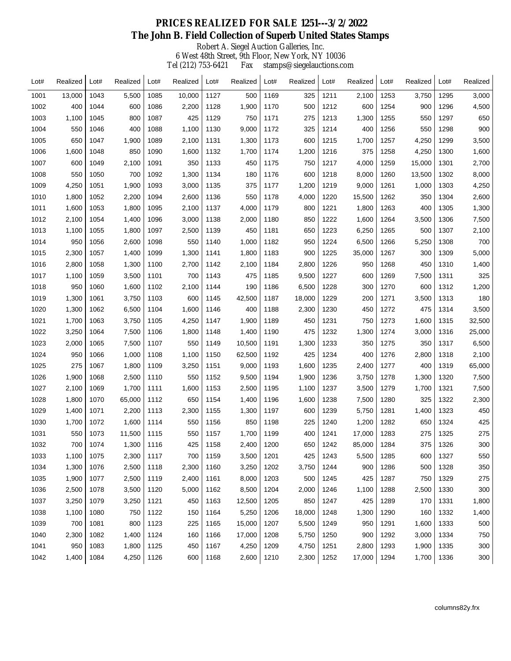## Robert A. Siegel Auction Galleries, Inc. 6 West 48th Street, 9th Floor, New York, NY 10036 Tel (212) 753-6421 Fax stamps@siegelauctions.com  **PRICES REALIZED FOR SALE 1251---3/2/2022 The John B. Field Collection of Superb United States Stamps**

| Lot# | Realized | Lot# | Realized | Lot# | Realized | Lot# | Realized | Lot# | Realized | Lot# | Realized | Lot# | Realized | Lot# | Realized |
|------|----------|------|----------|------|----------|------|----------|------|----------|------|----------|------|----------|------|----------|
| 1001 | 13,000   | 1043 | 5,500    | 1085 | 10,000   | 1127 | 500      | 1169 | 325      | 1211 | 2,100    | 1253 | 3,750    | 1295 | 3,000    |
| 1002 | 400      | 1044 | 600      | 1086 | 2,200    | 1128 | 1,900    | 1170 | 500      | 1212 | 600      | 1254 | 900      | 1296 | 4,500    |
| 1003 | 1,100    | 1045 | 800      | 1087 | 425      | 1129 | 750      | 1171 | 275      | 1213 | 1,300    | 1255 | 550      | 1297 | 650      |
| 1004 | 550      | 1046 | 400      | 1088 | 1,100    | 1130 | 9,000    | 1172 | 325      | 1214 | 400      | 1256 | 550      | 1298 | 900      |
| 1005 | 650      | 1047 | 1,900    | 1089 | 2,100    | 1131 | 1,300    | 1173 | 600      | 1215 | 1,700    | 1257 | 4,250    | 1299 | 3,500    |
| 1006 | 1,600    | 1048 | 850      | 1090 | 1,600    | 1132 | 1,700    | 1174 | 1,200    | 1216 | 375      | 1258 | 4,250    | 1300 | 1,600    |
| 1007 | 600      | 1049 | 2,100    | 1091 | 350      | 1133 | 450      | 1175 | 750      | 1217 | 4,000    | 1259 | 15,000   | 1301 | 2,700    |
| 1008 | 550      | 1050 | 700      | 1092 | 1,300    | 1134 | 180      | 1176 | 600      | 1218 | 8,000    | 1260 | 13,500   | 1302 | 8,000    |
| 1009 | 4,250    | 1051 | 1,900    | 1093 | 3,000    | 1135 | 375      | 1177 | 1,200    | 1219 | 9,000    | 1261 | 1,000    | 1303 | 4,250    |
| 1010 | 1,800    | 1052 | 2,200    | 1094 | 2,600    | 1136 | 550      | 1178 | 4,000    | 1220 | 15,500   | 1262 | 350      | 1304 | 2,600    |
| 1011 | 1,600    | 1053 | 1,800    | 1095 | 2,100    | 1137 | 4,000    | 1179 | 800      | 1221 | 1,800    | 1263 | 400      | 1305 | 1,300    |
| 1012 | 2,100    | 1054 | 1,400    | 1096 | 3,000    | 1138 | 2,000    | 1180 | 850      | 1222 | 1,600    | 1264 | 3,500    | 1306 | 7,500    |
| 1013 | 1,100    | 1055 | 1,800    | 1097 | 2,500    | 1139 | 450      | 1181 | 650      | 1223 | 6,250    | 1265 | 500      | 1307 | 2,100    |
| 1014 | 950      | 1056 | 2,600    | 1098 | 550      | 1140 | 1,000    | 1182 | 950      | 1224 | 6,500    | 1266 | 5,250    | 1308 | 700      |
| 1015 | 2,300    | 1057 | 1,400    | 1099 | 1,300    | 1141 | 1,800    | 1183 | 900      | 1225 | 35,000   | 1267 | 300      | 1309 | 5,000    |
| 1016 | 2,800    | 1058 | 1,300    | 1100 | 2,700    | 1142 | 2,100    | 1184 | 2,800    | 1226 | 950      | 1268 | 450      | 1310 | 1,400    |
| 1017 | 1,100    | 1059 | 3,500    | 1101 | 700      | 1143 | 475      | 1185 | 9,500    | 1227 | 600      | 1269 | 7,500    | 1311 | 325      |
| 1018 | 950      | 1060 | 1,600    | 1102 | 2,100    | 1144 | 190      | 1186 | 6,500    | 1228 | 300      | 1270 | 600      | 1312 | 1,200    |
| 1019 | 1,300    | 1061 | 3,750    | 1103 | 600      | 1145 | 42,500   | 1187 | 18,000   | 1229 | 200      | 1271 | 3,500    | 1313 | 180      |
| 1020 | 1,300    | 1062 | 6,500    | 1104 | 1,600    | 1146 | 400      | 1188 | 2,300    | 1230 | 450      | 1272 | 475      | 1314 | 3,500    |
| 1021 | 1,700    | 1063 | 3,750    | 1105 | 4,250    | 1147 | 1,900    | 1189 | 450      | 1231 | 750      | 1273 | 1,600    | 1315 | 32,500   |
| 1022 | 3,250    | 1064 | 7,500    | 1106 | 1,800    | 1148 | 1,400    | 1190 | 475      | 1232 | 1,300    | 1274 | 3,000    | 1316 | 25,000   |
| 1023 | 2,000    | 1065 | 7,500    | 1107 | 550      | 1149 | 10,500   | 1191 | 1,300    | 1233 | 350      | 1275 | 350      | 1317 | 6,500    |
| 1024 | 950      | 1066 | 1,000    | 1108 | 1,100    | 1150 | 62,500   | 1192 | 425      | 1234 | 400      | 1276 | 2,800    | 1318 | 2,100    |
| 1025 | 275      | 1067 | 1,800    | 1109 | 3,250    | 1151 | 9,000    | 1193 | 1,600    | 1235 | 2,400    | 1277 | 400      | 1319 | 65,000   |
| 1026 | 1,900    | 1068 | 2,500    | 1110 | 550      | 1152 | 9,500    | 1194 | 1,900    | 1236 | 3,750    | 1278 | 1,300    | 1320 | 7,500    |
| 1027 | 2,100    | 1069 | 1,700    | 1111 | 1,600    | 1153 | 2,500    | 1195 | 1,100    | 1237 | 3,500    | 1279 | 1,700    | 1321 | 7,500    |
| 1028 | 1,800    | 1070 | 65,000   | 1112 | 650      | 1154 | 1,400    | 1196 | 1,600    | 1238 | 7,500    | 1280 | 325      | 1322 | 2,300    |
| 1029 | 1,400    | 1071 | 2,200    | 1113 | 2,300    | 1155 | 1,300    | 1197 | 600      | 1239 | 5,750    | 1281 | 1,400    | 1323 | 450      |
| 1030 | 1,700    | 1072 | 1,600    | 1114 | 550      | 1156 | 850      | 1198 | 225      | 1240 | 1,200    | 1282 | 650      | 1324 | 425      |
| 1031 | 550      | 1073 | 11,500   | 1115 | 550      | 1157 | 1,700    | 1199 | 400      | 1241 | 17,000   | 1283 | 275      | 1325 | 275      |
| 1032 | 700      | 1074 | 1,300    | 1116 | 425      | 1158 | 2,400    | 1200 | 650      | 1242 | 85,000   | 1284 | 375      | 1326 | 300      |
| 1033 | 1,100    | 1075 | 2,300    | 1117 | 700      | 1159 | 3,500    | 1201 | 425      | 1243 | 5,500    | 1285 | 600      | 1327 | 550      |
| 1034 | 1,300    | 1076 | 2,500    | 1118 | 2,300    | 1160 | 3,250    | 1202 | 3,750    | 1244 | 900      | 1286 | 500      | 1328 | 350      |
| 1035 | 1,900    | 1077 | 2,500    | 1119 | 2,400    | 1161 | 8,000    | 1203 | 500      | 1245 | 425      | 1287 | 750      | 1329 | 275      |
| 1036 | 2,500    | 1078 | 3,500    | 1120 | 5,000    | 1162 | 8,500    | 1204 | 2,000    | 1246 | 1,100    | 1288 | 2,500    | 1330 | 300      |
| 1037 | 3,250    | 1079 | 3,250    | 1121 | 450      | 1163 | 12,500   | 1205 | 850      | 1247 | 425      | 1289 | 170      | 1331 | 1,800    |
| 1038 | 1,100    | 1080 | 750      | 1122 | 150      | 1164 | 5,250    | 1206 | 18,000   | 1248 | 1,300    | 1290 | 160      | 1332 | 1,400    |
| 1039 | 700      | 1081 | 800      | 1123 | 225      | 1165 | 15,000   | 1207 | 5,500    | 1249 | 950      | 1291 | 1,600    | 1333 | 500      |
| 1040 | 2,300    | 1082 | 1,400    | 1124 | 160      | 1166 | 17,000   | 1208 | 5,750    | 1250 | 900      | 1292 | 3,000    | 1334 | 750      |
| 1041 | 950      | 1083 | 1,800    | 1125 | 450      | 1167 | 4,250    | 1209 | 4,750    | 1251 | 2,800    | 1293 | 1,900    | 1335 | 300      |
| 1042 | 1,400    | 1084 | 4,250    | 1126 | 600      | 1168 | 2,600    | 1210 | 2,300    | 1252 | 17,000   | 1294 | 1,700    | 1336 | 300      |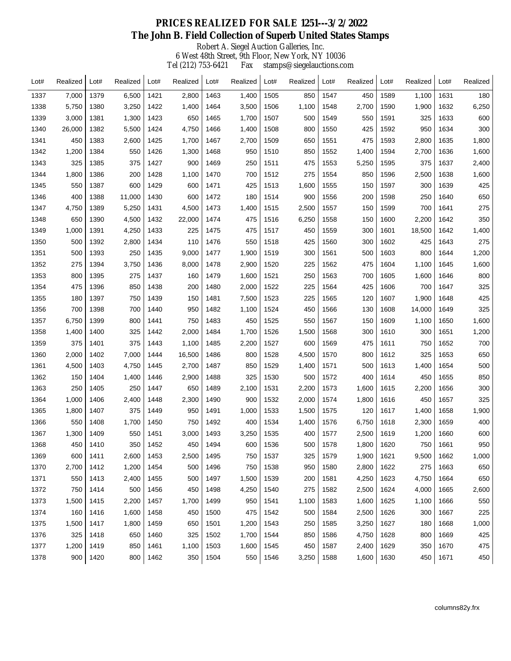## Robert A. Siegel Auction Galleries, Inc. 6 West 48th Street, 9th Floor, New York, NY 10036 Tel (212) 753-6421 Fax stamps@siegelauctions.com  **PRICES REALIZED FOR SALE 1251---3/2/2022 The John B. Field Collection of Superb United States Stamps**

| Lot# | Realized | Lot# | Realized | Lot# | Realized | Lot# | Realized | Lot# | Realized | Lot# | Realized | Lot# | Realized | Lot# | Realized |
|------|----------|------|----------|------|----------|------|----------|------|----------|------|----------|------|----------|------|----------|
| 1337 | 7,000    | 1379 | 6,500    | 1421 | 2,800    | 1463 | 1,400    | 1505 | 850      | 1547 | 450      | 1589 | 1,100    | 1631 | 180      |
| 1338 | 5,750    | 1380 | 3,250    | 1422 | 1,400    | 1464 | 3,500    | 1506 | 1,100    | 1548 | 2,700    | 1590 | 1,900    | 1632 | 6,250    |
| 1339 | 3,000    | 1381 | 1,300    | 1423 | 650      | 1465 | 1,700    | 1507 | 500      | 1549 | 550      | 1591 | 325      | 1633 | 600      |
| 1340 | 26,000   | 1382 | 5,500    | 1424 | 4,750    | 1466 | 1,400    | 1508 | 800      | 1550 | 425      | 1592 | 950      | 1634 | 300      |
| 1341 | 450      | 1383 | 2,600    | 1425 | 1,700    | 1467 | 2,700    | 1509 | 650      | 1551 | 475      | 1593 | 2,800    | 1635 | 1,800    |
| 1342 | 1,200    | 1384 | 550      | 1426 | 1,300    | 1468 | 950      | 1510 | 850      | 1552 | 1,400    | 1594 | 2,700    | 1636 | 1,600    |
| 1343 | 325      | 1385 | 375      | 1427 | 900      | 1469 | 250      | 1511 | 475      | 1553 | 5,250    | 1595 | 375      | 1637 | 2,400    |
| 1344 | 1,800    | 1386 | 200      | 1428 | 1,100    | 1470 | 700      | 1512 | 275      | 1554 | 850      | 1596 | 2,500    | 1638 | 1,600    |
| 1345 | 550      | 1387 | 600      | 1429 | 600      | 1471 | 425      | 1513 | 1,600    | 1555 | 150      | 1597 | 300      | 1639 | 425      |
| 1346 | 400      | 1388 | 11,000   | 1430 | 600      | 1472 | 180      | 1514 | 900      | 1556 | 200      | 1598 | 250      | 1640 | 650      |
| 1347 | 4,750    | 1389 | 5,250    | 1431 | 4,500    | 1473 | 1,400    | 1515 | 2,500    | 1557 | 150      | 1599 | 700      | 1641 | 275      |
| 1348 | 650      | 1390 | 4,500    | 1432 | 22,000   | 1474 | 475      | 1516 | 6,250    | 1558 | 150      | 1600 | 2,200    | 1642 | 350      |
| 1349 | 1,000    | 1391 | 4,250    | 1433 | 225      | 1475 | 475      | 1517 | 450      | 1559 | 300      | 1601 | 18,500   | 1642 | 1,400    |
| 1350 | 500      | 1392 | 2,800    | 1434 | 110      | 1476 | 550      | 1518 | 425      | 1560 | 300      | 1602 | 425      | 1643 | 275      |
| 1351 | 500      | 1393 | 250      | 1435 | 9,000    | 1477 | 1,900    | 1519 | 300      | 1561 | 500      | 1603 | 800      | 1644 | 1,200    |
| 1352 | 275      | 1394 | 3,750    | 1436 | 8,000    | 1478 | 2,900    | 1520 | 225      | 1562 | 475      | 1604 | 1,100    | 1645 | 1,600    |
| 1353 | 800      | 1395 | 275      | 1437 | 160      | 1479 | 1,600    | 1521 | 250      | 1563 | 700      | 1605 | 1,600    | 1646 | 800      |
| 1354 | 475      | 1396 | 850      | 1438 | 200      | 1480 | 2,000    | 1522 | 225      | 1564 | 425      | 1606 | 700      | 1647 | 325      |
| 1355 | 180      | 1397 | 750      | 1439 | 150      | 1481 | 7,500    | 1523 | 225      | 1565 | 120      | 1607 | 1,900    | 1648 | 425      |
| 1356 | 700      | 1398 | 700      | 1440 | 950      | 1482 | 1,100    | 1524 | 450      | 1566 | 130      | 1608 | 14,000   | 1649 | 325      |
| 1357 | 6,750    | 1399 | 800      | 1441 | 750      | 1483 | 450      | 1525 | 550      | 1567 | 150      | 1609 | 1,100    | 1650 | 1,600    |
| 1358 | 1,400    | 1400 | 325      | 1442 | 2,000    | 1484 | 1,700    | 1526 | 1,500    | 1568 | 300      | 1610 | 300      | 1651 | 1,200    |
| 1359 | 375      | 1401 | 375      | 1443 | 1,100    | 1485 | 2,200    | 1527 | 600      | 1569 | 475      | 1611 | 750      | 1652 | 700      |
| 1360 | 2,000    | 1402 | 7,000    | 1444 | 16,500   | 1486 | 800      | 1528 | 4,500    | 1570 | 800      | 1612 | 325      | 1653 | 650      |
| 1361 | 4,500    | 1403 | 4,750    | 1445 | 2,700    | 1487 | 850      | 1529 | 1,400    | 1571 | 500      | 1613 | 1,400    | 1654 | 500      |
| 1362 | 150      | 1404 | 1,400    | 1446 | 2,900    | 1488 | 325      | 1530 | 500      | 1572 | 400      | 1614 | 450      | 1655 | 850      |
| 1363 | 250      | 1405 | 250      | 1447 | 650      | 1489 | 2,100    | 1531 | 2,200    | 1573 | 1,600    | 1615 | 2,200    | 1656 | 300      |
| 1364 | 1,000    | 1406 | 2,400    | 1448 | 2,300    | 1490 | 900      | 1532 | 2,000    | 1574 | 1,800    | 1616 | 450      | 1657 | 325      |
| 1365 | 1,800    | 1407 | 375      | 1449 | 950      | 1491 | 1,000    | 1533 | 1,500    | 1575 | 120      | 1617 | 1,400    | 1658 | 1,900    |
| 1366 | 550      | 1408 | 1,700    | 1450 | 750      | 1492 | 400      | 1534 | 1,400    | 1576 | 6,750    | 1618 | 2,300    | 1659 | 400      |
| 1367 | 1,300    | 1409 | 550      | 1451 | 3,000    | 1493 | 3,250    | 1535 | 400      | 1577 | 2,500    | 1619 | 1,200    | 1660 | 600      |
| 1368 | 450      | 1410 | 350      | 1452 | 450      | 1494 | 600      | 1536 | 500      | 1578 | 1,800    | 1620 | 750      | 1661 | 950      |
| 1369 | 600      | 1411 | 2,600    | 1453 | 2,500    | 1495 | 750      | 1537 | 325      | 1579 | 1,900    | 1621 | 9,500    | 1662 | 1,000    |
| 1370 | 2,700    | 1412 | 1,200    | 1454 | 500      | 1496 | 750      | 1538 | 950      | 1580 | 2,800    | 1622 | 275      | 1663 | 650      |
| 1371 | 550      | 1413 | 2,400    | 1455 | 500      | 1497 | 1,500    | 1539 | 200      | 1581 | 4,250    | 1623 | 4,750    | 1664 | 650      |
| 1372 | 750      | 1414 | 500      | 1456 | 450      | 1498 | 4,250    | 1540 | 275      | 1582 | 2,500    | 1624 | 4,000    | 1665 | 2,600    |
| 1373 | 1,500    | 1415 | 2,200    | 1457 | 1,700    | 1499 | 950      | 1541 | 1,100    | 1583 | 1,600    | 1625 | 1,100    | 1666 | 550      |
| 1374 | 160      | 1416 | 1,600    | 1458 | 450      | 1500 | 475      | 1542 | 500      | 1584 | 2,500    | 1626 | 300      | 1667 | 225      |
| 1375 | 1,500    | 1417 | 1,800    | 1459 | 650      | 1501 | 1,200    | 1543 | 250      | 1585 | 3,250    | 1627 | 180      | 1668 | 1,000    |
| 1376 | 325      | 1418 | 650      | 1460 | 325      | 1502 | 1,700    | 1544 | 850      | 1586 | 4,750    | 1628 | 800      | 1669 | 425      |
| 1377 | 1,200    | 1419 | 850      | 1461 | 1,100    | 1503 | 1,600    | 1545 | 450      | 1587 | 2,400    | 1629 | 350      | 1670 | 475      |
| 1378 | 900      | 1420 | 800      | 1462 | 350      | 1504 | 550      | 1546 | 3,250    | 1588 | 1,600    | 1630 | 450      | 1671 | 450      |